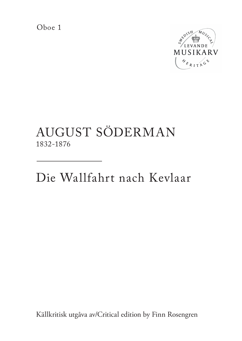Oboe 1



## AUGUST SÖDERMAN 1832-1876

Die Wallfahrt nach Kevlaar

Källkritisk utgåva av/Critical edition by Finn Rosengren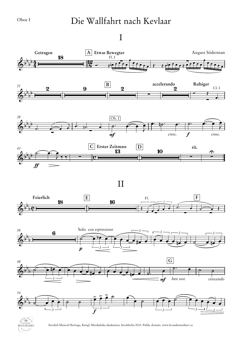## Die Wallfahrt nach Kevlaar

## I



II